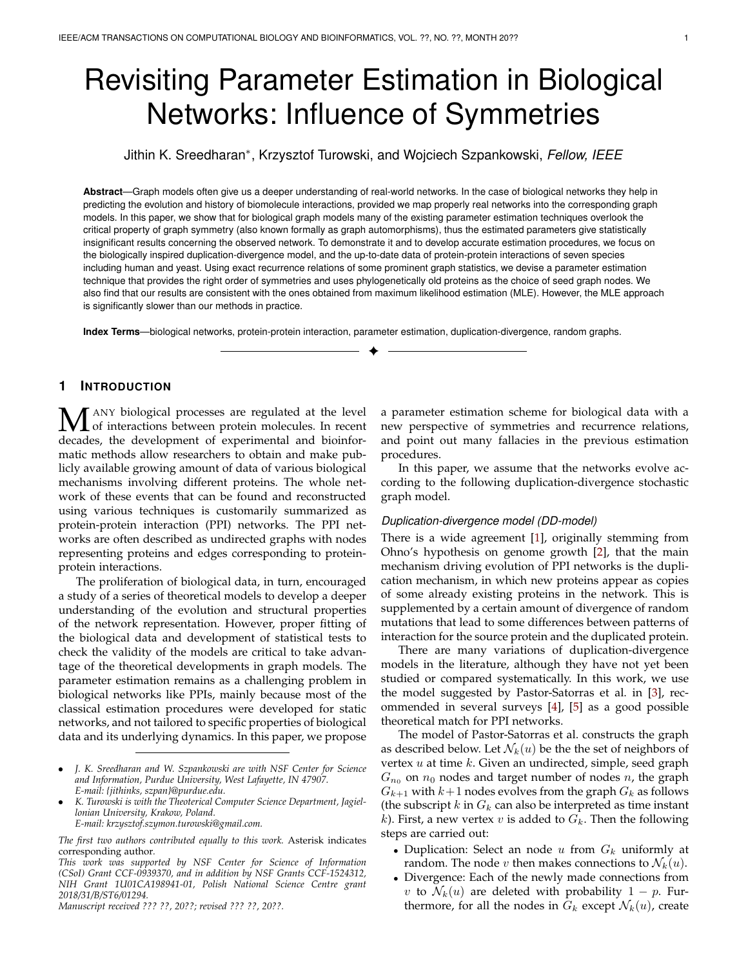# Revisiting Parameter Estimation in Biological Networks: Influence of Symmetries

Jithin K. Sreedharan<sup>∗</sup>, Krzysztof Turowski, and Wojciech Szpankowski, Fellow, IEEE

**Abstract**—Graph models often give us a deeper understanding of real-world networks. In the case of biological networks they help in predicting the evolution and history of biomolecule interactions, provided we map properly real networks into the corresponding graph models. In this paper, we show that for biological graph models many of the existing parameter estimation techniques overlook the critical property of graph symmetry (also known formally as graph automorphisms), thus the estimated parameters give statistically insignificant results concerning the observed network. To demonstrate it and to develop accurate estimation procedures, we focus on the biologically inspired duplication-divergence model, and the up-to-date data of protein-protein interactions of seven species including human and yeast. Using exact recurrence relations of some prominent graph statistics, we devise a parameter estimation technique that provides the right order of symmetries and uses phylogenetically old proteins as the choice of seed graph nodes. We also find that our results are consistent with the ones obtained from maximum likelihood estimation (MLE). However, the MLE approach is significantly slower than our methods in practice.

✦

**Index Terms**—biological networks, protein-protein interaction, parameter estimation, duplication-divergence, random graphs.

#### **1 INTRODUCTION**

**M** ANY biological processes are regulated at the level<br>of interactions between protein molecules. In recent<br>decades, the development of experimental and bioinfordecades, the development of experimental and bioinformatic methods allow researchers to obtain and make publicly available growing amount of data of various biological mechanisms involving different proteins. The whole network of these events that can be found and reconstructed using various techniques is customarily summarized as protein-protein interaction (PPI) networks. The PPI networks are often described as undirected graphs with nodes representing proteins and edges corresponding to proteinprotein interactions.

The proliferation of biological data, in turn, encouraged a study of a series of theoretical models to develop a deeper understanding of the evolution and structural properties of the network representation. However, proper fitting of the biological data and development of statistical tests to check the validity of the models are critical to take advantage of the theoretical developments in graph models. The parameter estimation remains as a challenging problem in biological networks like PPIs, mainly because most of the classical estimation procedures were developed for static networks, and not tailored to specific properties of biological data and its underlying dynamics. In this paper, we propose

a parameter estimation scheme for biological data with a new perspective of symmetries and recurrence relations, and point out many fallacies in the previous estimation procedures.

In this paper, we assume that the networks evolve according to the following duplication-divergence stochastic graph model.

#### *Duplication-divergence model (DD-model)*

There is a wide agreement [\[1\]](#page-12-0), originally stemming from Ohno's hypothesis on genome growth [\[2\]](#page-12-1), that the main mechanism driving evolution of PPI networks is the duplication mechanism, in which new proteins appear as copies of some already existing proteins in the network. This is supplemented by a certain amount of divergence of random mutations that lead to some differences between patterns of interaction for the source protein and the duplicated protein.

There are many variations of duplication-divergence models in the literature, although they have not yet been studied or compared systematically. In this work, we use the model suggested by Pastor-Satorras et al. in [\[3\]](#page-12-2), recommended in several surveys [\[4\]](#page-12-3), [\[5\]](#page-12-4) as a good possible theoretical match for PPI networks.

The model of Pastor-Satorras et al. constructs the graph as described below. Let  $\mathcal{N}_k(u)$  be the the set of neighbors of vertex  $u$  at time  $k$ . Given an undirected, simple, seed graph  $G_{n_0}$  on  $n_0$  nodes and target number of nodes n, the graph  $G_{k+1}$  with  $k+1$  nodes evolves from the graph  $G_k$  as follows (the subscript  $k$  in  $G_k$  can also be interpreted as time instant k). First, a new vertex v is added to  $G_k$ . Then the following steps are carried out:

- Duplication: Select an node u from  $G_k$  uniformly at random. The node v then makes connections to  $\mathcal{N}_k(u)$ .
- Divergence: Each of the newly made connections from v to  $\mathcal{N}_k(u)$  are deleted with probability  $1 - p$ . Furthermore, for all the nodes in  $G_k$  except  $\mathcal{N}_k(u)$ , create

<sup>•</sup> *J. K. Sreedharan and W. Szpankowski are with NSF Center for Science and Information, Purdue University, West Lafayette, IN 47907. E-mail: {jithinks, szpan}@purdue.edu.*

<sup>•</sup> *K. Turowski is with the Theoterical Computer Science Department, Jagiellonian University, Krakow, Poland.*

*E-mail: krzysztof.szymon.turowski@gmail.com.*

*The first two authors contributed equally to this work.* Asterisk indicates corresponding author*.*

*This work was supported by NSF Center for Science of Information (CSoI) Grant CCF-0939370, and in addition by NSF Grants CCF-1524312, NIH Grant 1U01CA198941-01, Polish National Science Centre grant 2018/31/B/ST6/01294.*

*Manuscript received ??? ??, 20??; revised ??? ??, 20??.*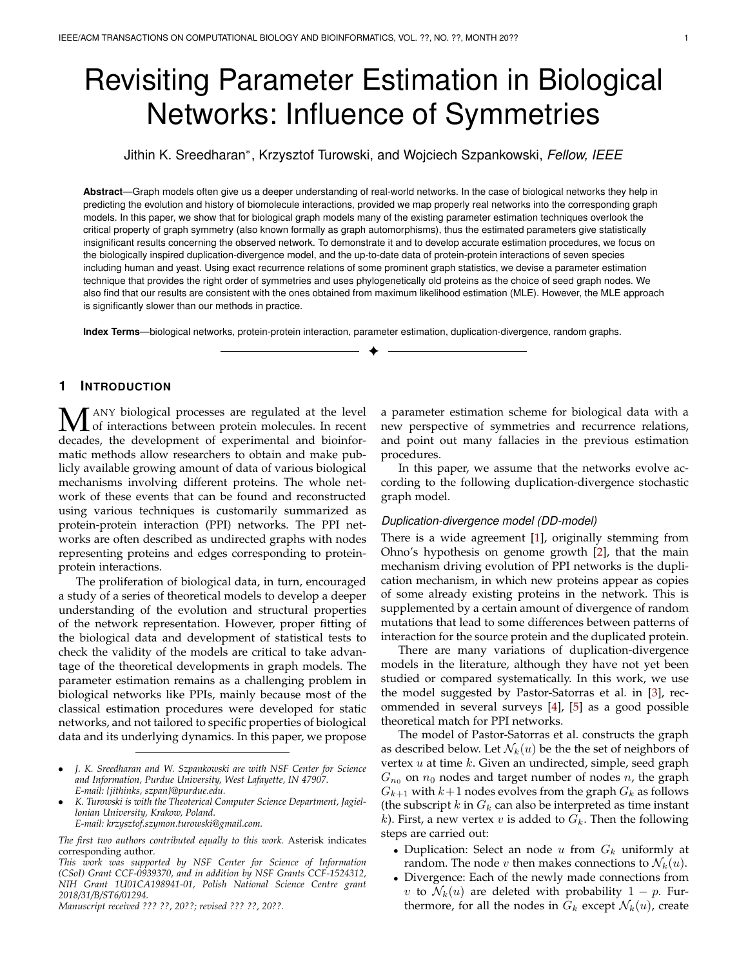an edge from each of them to  $v$  independently with probability  $\frac{r}{k}$ .

The above process is repeated until the number of nodes in the graph reaches *n*. We denote the graph  $G_n$  generated from the DD-model with parameters  $p$  and  $r$ , starting from seed graph  $G_{n_0}$ , by  $G_n \sim$  DD-model  $(n, p, r, G_{n_0}).$  Note that the above model generalizes pure duplication model when  $p = 1, r = 0$  [\[6\]](#page-12-5), [\[7\]](#page-12-6). In some variations of the model (e.g. [\[8\]](#page-12-7)), the nodes  $v$  and  $u$  will make a connection independently with a probability q that is much larger than  $r/k$ . However, the addition of  $q$  does not introduce significant changes in the properties of the graph, therefore we do not consider such a variation in this work.

#### **Motivation and contributions**

In this work, we rigorously study the problem of parameter estimation in the duplication-divergence model using PPI datasets of seven species. The following points motivate this work and we present our key results with them.

#### *Symmetries of the graph*

One important feature of the networks that was neglected in the previous studies is the distribution of the number of symmetries generated by the fitted models with fine-tuned parameters. The symmetries of a graph  $H$  are formally called automorphisms which is defined as the set of all permutations  $\pi$  of the vertex set of H with the property that, for any vertices u and v, we have  $\pi(u) \sim \pi(v)$  if and only if  $u \sim v$  where  $\sim$  represents an edge (i.e., an automorphism is a an adjacency preserving permutation). For the real-world PPI networks it turns out that the number of symmetries is considerably high, which is in stark contradiction with properties of many random graph models. For example, it is known that graphs generated from Erdős-Renyi model [\[9\]](#page-12-8) and from preferential attachment model [\[10\]](#page-12-9) are asymmetric with high probability. Therefore they cannot be reasonably justified as underlying generation schemes for PPI networks. We shall also see that the same phenomena may occur for the DD-model with some ranges of the parameters  $p$  and  $r$ .

Automorphisms are rarely studied in the context of biological networks and graph models. So far there are no theoretical results on automorphisms in the duplicationdivergence model except the work in [\[11\]](#page-12-10) for the limiting case of  $r = 0$ , where it was discovered that when both  $p = 0$ and  $p = 1$  the model produces graphs with a significant amount of symmetry.

Our main focus in this work is to take into account the number of automorphisms of the observed network to restrict the parameter search to a more meaningful range. Moreover, we show that most parameters outputted by previous estimation techniques fail to produce graphs having an order of automorphisms close to that of the PPI networks and therefore they are, in this regard, do not fit the DD-model well. We also note that cross-checking with the number of automorphisms of the real-world network forms a null hypothesis test for the model under consideration.

Moreover, there are close relations between automorphism group of a graph and eigenvalues of the associated graph matrices (commonly called spectrum of a graph) [\[12\]](#page-12-11). The graph spectrum concisely abstracts many key characteristics of the graph like the number of triangles and other subgraphs, number of walks of a specified length, number of spanning trees etc. If the existing parameter estimation methods fit the given graph into a model that is not in agreement in terms of the number of automorphisms, the spectrum and many characteristics of the fitted graph do not get matched to the given graph.

#### *Graph parameter recurrences*

It is widely recognized that the asymptotics of structural properties such as the degree distribution and number of edges of the DD-model are crucial parameters, upon which judgment about the fitness of the model could be made. From the theoretical point of view, the analysis for the DD-model was presented in [\[13\]](#page-12-12), [\[14\]](#page-12-13), supporting the case that graphs derived from this model exhibit (under certain assumptions) power-law-like behavior. Moreover, the frequency of appearance of certain graph structures called graphlets (small subgraphs such as triangles, open triangles, etc.) can be viewed as another criterion for model fitting (see [\[4\]](#page-12-3), [\[15\]](#page-12-14) and the references therein). The triangles and *wedges* (paths of length 2 or star with two nodes) are particularly crucial as they are directly related to the network clustering coefficient. The high value of this coefficient is recognized in general as a significant characteristic of some biological networks including PPI networks [\[16\]](#page-12-15), differentiating these networks from those which can be obtained, for example, from Erdős-Renyi or preferential attachment models.

Our approach is based on recreating graph evolution from a single snapshot of the observed network. We apply, for the first time, rigorous analyses to estimate parameters with the recurrence relations of degree and the number of wedges and triangles, recreating the dynamic process of DD-model construction. The advantages of this approach are twofold: first, the use of accurate iterative formulas allow us to achieve more realism and precision for finite graphs, which is in contrast to most of the previous studies that derive parameter estimates exclusively in terms of steady-state behavior. Second, it is not proven whether the steady state for such models even exists and whether the whole random process converges asymptotically (see Section 4 for more details).

#### *Maximum likelihood method*

To substantiate the accuracy of our estimation technique, we apply the maximum likelihood method (MLE) with the importance sampling to the parameter inference problem, adapting the work of Wiuf et al. [\[17\]](#page-12-16) to the DD-model (see Section 5.2 for the implementation and details). It turns out that the results of the MLE method are very similar to those that derived from our estimation method, and the estimated parameters in both the techniques generate data that is consistent with the observed network in terms of the number of automorphisms.

However, the MLE algorithm has much larger computational complexity,  $\Theta$   $n^3 \frac{1}{\varepsilon^2}$  compared to  $\Theta$   $n \frac{1}{\varepsilon} \log \frac{1}{\varepsilon}$ needed by our approach based on the recurrences  $(n \text{ and } n)$  $\epsilon$  being the number of nodes and required resolution). Therefore, the analysis of graphs using MLE method is significantly slower for networks in practice and its application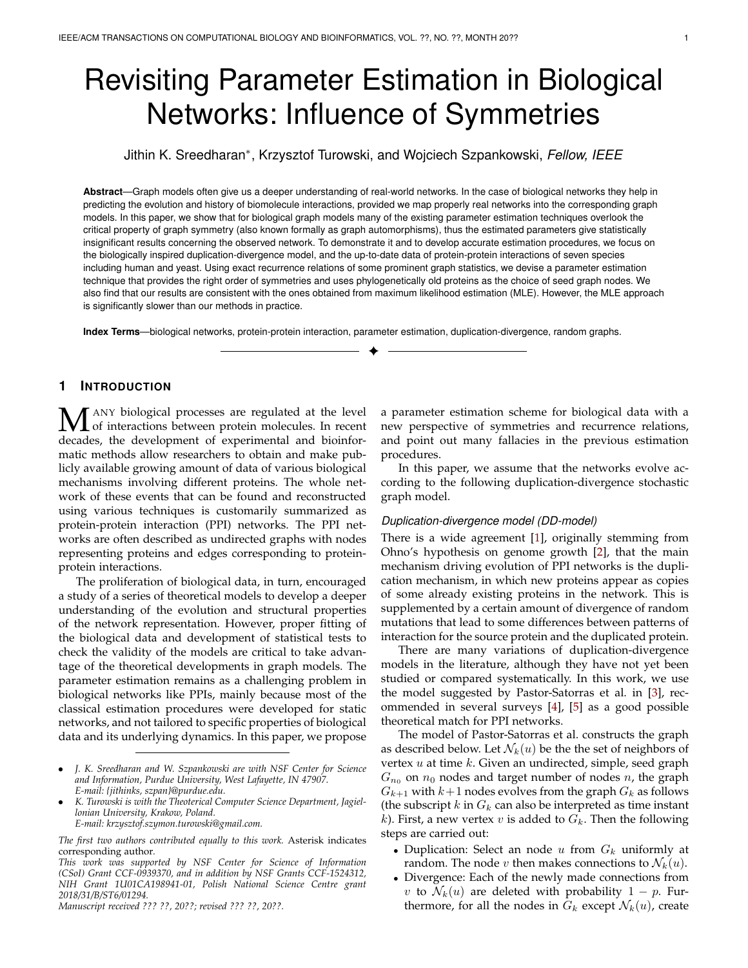is impractical for networks exceeding 1000nodes, which includes most of the real-world PPI networks. Furthermore, in the case of MLE, a large set of parameter values maximizes the likelihood function when the true p value is close to one, thus making it less reliable (see Section 6.1).

#### Seed graph choice

It is well known that seed graphs play an important role in biological networks, and its improper selection will affect the estimated parameters of the tted model [[5\],](#page-12-4) [[18\].](#page-12-17) In particular, the task of determining the suitable range of parameters for the duplication-divergence model is always done under assumptions concerning the seed graph. In this work, we improve on the existing solutions by choosing the seed graph on the basis of phylogenetic ages of the proteins in the PPI data – the oldest proteins forms the seed graph. Although such a choice of seed graph is completely absent in prior literature, it is a natural pick as the seed graph itself is de ned as the network that is comprised of the oldest entities in the given network.

#### Outline of the paper

In Section 2, we describe the PPI datasets that are considered in this paper. The in uence of parameters of the DD-model on graph symmetries and the p-value calculation for comparing with the observed graph are given in Section 3. In Section 4, we provide a critique of various de- ciencies of the previous approaches to PPI networks parameter estimation, like lack of symmetries and overemphasis on power-law behavior. Section 5 describes our approach based on both automorphisms counting and exact iterative formulas for certain graph statistics. In this section, we also present an MLE algorithm for parameter inference and compare it with our approach in terms of their complexity and practical usage. Section 6 contains numerical results for both synthetic data generated from the DD-model and realworld PPI networks. Section 7 reports the conclusions of the paper with a discussion of obtained results and their signi-cance. At the end, in Section [8](#page-10-0) and [9,](#page-10-1) we provide, as a supplement, an implementation of the MLE algorithm and the proof of our main theorem.

Table [1](#page-2-0) provides the list of main notations used in the paper.

<span id="page-2-0"></span>

| Notation             | Meaning                                                                              |
|----------------------|--------------------------------------------------------------------------------------|
| $G_{obs}$            | Observed real-world network                                                          |
| $G_{n_0}$            | Seed graph (initial graph) with $n_0$ nodes                                          |
| G <sub>n</sub>       | Realization of the DD-model with xed                                                 |
|                      | parameters and n number of nodes                                                     |
| p; r                 | Parameters of the DD-model                                                           |
|                      | Power law exponent                                                                   |
| Aut(G)               | Automorphism group of graph G                                                        |
| jAut(G)j             | Number of automorphisms of graph G                                                   |
| $N_s(t)$             | Set of neighbors of node t at time s                                                 |
| deg <sub>e</sub> (t) | Degree of a nodet at time s                                                          |
| $D(G_n)$             | $\frac{1}{1}P \prod_{i=1}^{n} deg_{n}(i)$<br>$\frac{1}{1}$ deg <sub>n</sub> (i)<br>n |
| $D_2(G_n)$           | n                                                                                    |
| $S_2(G_n)$           | Number of wedges (stars with two nodes) in $G_n$                                     |
| $C_3(G_n)$           | Number of triangles in $G_n$                                                         |

#### 2 DATASETS

We use protein-protein interaction networks (PPI) to verify the estimation techniques proposed in this paper. The data is collected from the BioGRID, a popular curated biological database of protein-protein interactions. The networks formed from protein-protein interaction data are further cleaned by removing self-interactions (self-loops), multiple interactions (multiple edges), and interspecies (organisms) interactions of proteins. Thus the considered PPI networks only have physical and intra-species interactions. Unlike some of the previous studies that consider only the largest connected component, the DD-model we focus in this work incorporates disconnected subgraphs and isolated nodes.

Table 2 shows the different PPI datasets considered in this paper. We have also listed the logarithm of the number of automorphisms in the original graph, obtained using a publicly available program nauty [\[19\]](#page-12-18). We note here that the PPI dataset is growing as new interactions getting added on every new release of the dataset. Many previous studies were using older and less complete versions of the data, and therefore it is important to repeat the estimation procedures from those studies and compare them to our methods.

#### 2.1 Selection of seed graph  $G_{n_0}$

Previous studies typically assume the seed graph  $G_{n_0}$  as the maximal clique (or the largest two cliques) in the graph  $G_n$ [\[4\]](#page-12-3), [\[5\]](#page-12-4). Here we consider a novel formulation for the seed graph. We select the seed graph as the graph induced in the PPI networks by the oldest proteins. That is, the proteins in the observed PPI data that are known to have the largest phylogenetic age (taxon age). It is reasonable to expect that the same protein which appeared over different species also appears in their common ancestor. Hence proteins shared across many different, distant species are supposed to be older than others.

More precisely, the age of a protein is based on a family's appearance on a species tree, and it is estimated via protein family databases and ancestral history reconstruction algorithms. We use Princeton Protein Orthology Database (PPOD) [\[20](#page-12-19)] along with OrthoMCL [[21\]](#page-12-20) and PANTHER [2[2\]](#page-12-21) for the protein family database and asymmetric Wagner parsimony as the ancestral history reconstruction algorithm. These algorithms can be accessed via ProteinHistorian software [[23\]](#page-12-22).

Table 2 also lists the statistics of seed graphs $\mathsf{G}_{\mathsf{n}_0}$  for different PPI networks. Even if the original PPI network is connected, the DD-model under consideration allows a disconnected graph to be the seed graph. Thus, similar to the formation of the PPI network, we consider the graph induced by oldest proteins including isolated nodes and disconnected subgraphs, not restricting ourselves to a connected component that introduces biases in the results.

# 3 INFLUENCE OF PARAMETERS ON SYMMETRIES OF THE MODEL

For certain range of values of the parameters p and r of the DD-model, given n and  $\mathsf{G}_{\mathsf{n}_0}$ , we show in this section that the model generates virtually only asymmetric graphs. However, we can put forward a question: are there any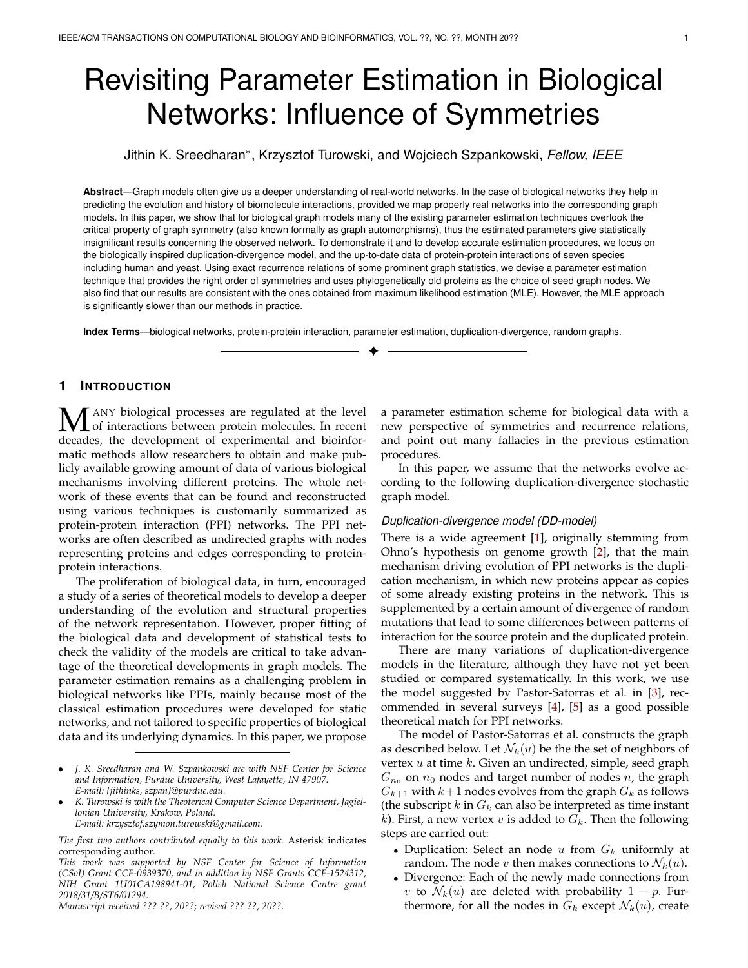|                 |                               |         | Original graph G <sub>obs</sub> | Seed graph $G_{n_0}$ |         |         |
|-----------------|-------------------------------|---------|---------------------------------|----------------------|---------|---------|
| Organism        | Scienti c name                | # Nodes | # Edges                         | logiAut(G)           | # Nodes | # Edges |
| Baker's yeast   | Saccharomyces cerevisiae      | 6:152   | 531400                          | 267                  | 548     | 5194    |
| <b>Human</b>    | Homo sapiens                  | 17:295  | 296637                          | 3026                 | 546     | 2822    |
| Fruit y         | Drosophila melanogaster       | 9:205   | 60355                           | 1026                 | 416     | 1210    |
| Fission yeast   | Schizosaccharomyces pombe     | 4:177   | 58084                           | 675                  | 412     | 226     |
| Mouse-ear cress | Arabidopsis thaliana Columbia | 9:388   | 34885                           | 6696                 | 613     | 41      |
| Mouse           | Mus musculus                  | 6:849   | 18380                           | 7827                 | 305     | 7       |
| Worm            | Caenorhabditis elegans        | 3:869   | 7,815                           | 3348                 | 185     | 15      |

TABLE 2: Statistics of PPI networks used in this paper and the generated seed graph  $G_{n_0}$  with nodes of the largest phylogenetic ages.

| (a) $n = 100$ | (b) $n = 500$ | (c) $n = 2000$ |
|---------------|---------------|----------------|
|---------------|---------------|----------------|

Fig. 1: Logarithm of the expected number of automorphisms of graphs generated from the DD-model. The seed graph  $G_{n_0} = K_{20}$ .

values of parameters that will yield graphs with the number of automorphisms (i.e., the number of adjacency preserving permutations of the vertex set) close to the real-world PPIs?

In Figure 1, we present the average number of symmetries in the logarithmic scale for graphs with different sizes generated from the DD-model with a xed set of parameters. As p; r ! 0 or when p becomes very close to 1 we observe signi cantly larger values for the average number of automorphisms (since the generated graphs tend to have numerous isolated nodes or they become closer to a complete graph). For instance in Figure 1a,  $p = 1$ ;  $r = 0.4$ has E[log Aut( G<sub>n</sub>)] = 1114, and  $p = 0$ ; r = 0:4 has E[log Aut( $G_n$ )] = 1253. But for large ranges of p and r, it is practically impossible to generate a graph exhibiting any noticeable symmetries. For example,  $p = 0:2; r = 2:4$  has E[log Aut( G<sub>n</sub>)] = 3 :2; p = 0 :6; r = 0 has E[log Aut( G<sub>n</sub>)] = 1:3; and  $p = 0:4$ ;  $r = 2:4$  has  $E[log Aut(G<sub>n</sub>)] = 0:12$ . These observations are consistent for different n and  $G_{n_0}$ too, though the speci c range of values of parameters will obviously change.

The number of automorphisms in the DD-model behaves differently as in many other graph models. The preferential-attachment graphs are asymmetric (no nontrivial symmetries) with high probability when the number of edges a new node brings into the graph exceeds 2 [10], and almost every graph from the E rdos-Rényi model is asymmetric [9]. On the other hand, the DD-model exhibits a large number of symmetries and it grows with the number of nodes, as shown in Figure 1.

These ndings allow us to argue that only certain subsets of (p; r) pairs correspond to the expected number of automorphisms in the order of the required value. This means that it can be reasonably used as a falsi cation tool to discard certain parameter ranges and to verify parameter estimation methods. We provide a simple statistical test for checking the possibility of generating the required number

of symmetries with the estimated parameters.

Statistical test for signi cance of the number of symmetries with the estimated parameters

Given the real-world network  $G_{obs}$ , seed graph  $G_{n_0}$ , and the estimated parameters  $(p; b)$  of the DD-model, we can estimate the statistical signi cance of the estimates with respect to the number of symmetries in  $G<sub>obs</sub>$  as follows. Let  $G_n^{(1)}$ ;:::; $G_n^{(m)}$  be m graphs generated from DD-model (n;  $\boldsymbol{\mathsf{p}};$   $\boldsymbol{\mathsf{g}}$  G $_{\mathsf{n_0}}$ ). Then the p-value is now calculated as follows:

$$
p_{u} = \frac{1}{m} \sum_{i=1}^{m} 1f \log jAut(G_{n}^{(i)})j \quad \log jAut(G_{obs})jg
$$

$$
p_{l} = \frac{1}{m} \sum_{i=1}^{m} 1f \log jAut(G_{n}^{(i)})j \quad \log jAut(G_{obs})jg;
$$

with 1f Ag as the indicator function of the event A. Then p-value = 2 min f  $p_u$ ;  $p_l$  g. As an example, for a  $\alpha$  xed parameter set, the empirical distribution of logjAut( G)j is shown in Figure 2. The distribution is symmetrical and this justi-es use of the symmetrical de nition of p-value. A lower pvalue indicates that the estimated parameters do not t the observed network, and a higher value gives an argument for the estimated parameters being in agreement with the number of symmetries in  $G_{obs}$ .

## 4 PARAMETER ESTIMATION AND WHY EXISTING METHODS FAIL IN PRACTICE?

Previous methods for the parameter estimation problem in the DD-model was rst sketched in [3] and then considered more rigorously in [13]. Later, [4], [5] provided some extensions to the estimation procedures using the mean eld approximation of the average degree D(G<sub>obs</sub>) together with the steady-state expression of the power-law exponent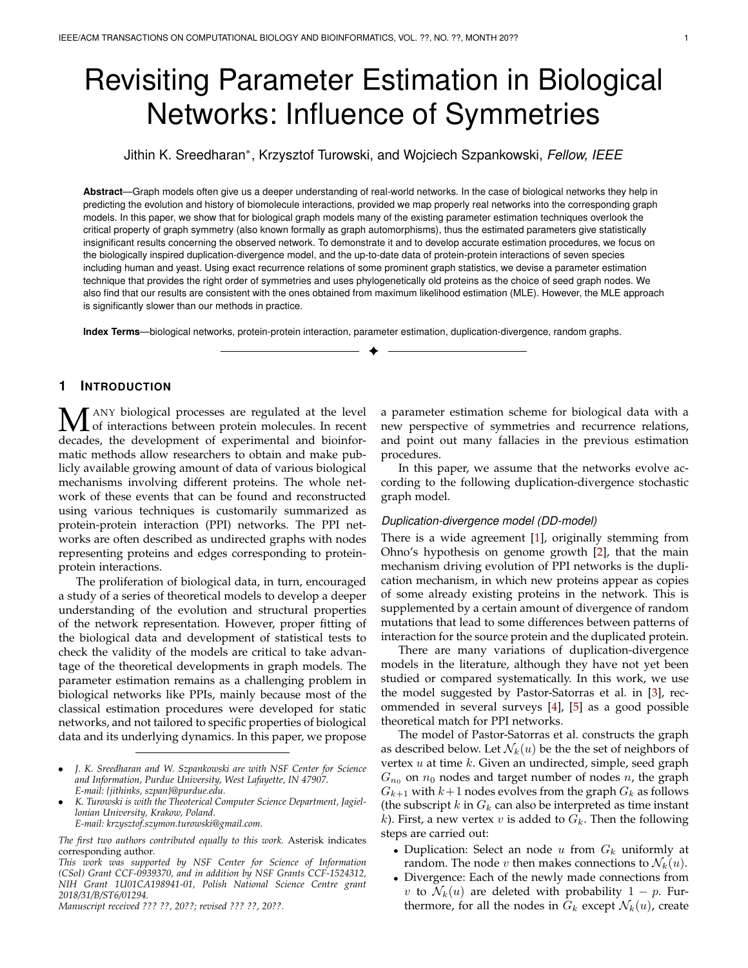Fig. 2: Normalized histogram of logarithm of number of automorphisms when  $G_n$  DD-model (500, 0:3; 0:4; K  $_{20}$ ).

of the degree distribution. Then, the values of p and r are computed, respectively, from the formulas:

$$
= 1 + \frac{1}{p} \quad p \quad ^2 \text{ and } r = \frac{1}{2} \quad p \quad D(G_{obs}); \text{ for } p < \frac{1}{2}.
$$

Table 3 presents the estimates of parametersp and r using the above method. Additionally, we present the average logarithm of the number of automorphisms computed from 10;000graphs generated from the DD-model with the estimated parameters.

| Organism        | D    | b    | $E[log jAut(G_n)]$ | p-value |
|-----------------|------|------|--------------------|---------|
| Baker's yeast   | 0:28 | 3825 | O                  | 0       |
| Human           | 0:43 | 239  | 10.81              |         |
| Fruit y         | 0:44 | 0.75 | 3771.99            | 0       |
| Fission yeast   | 0:46 | 1:02 | 897.48             | 0       |
| Mouse-ear cress | 0:44 | 0.43 | 1859672            | 0       |
| Mouse           | 0:48 | 0:12 | 3496169            | 0       |
| Worm            | 0:47 | 0:14 | 1570026            |         |

TABLE 3: Estimated parameters of the DD-model and average number of symmetries using mean- eld approach.

Mismatch in the number of symmetries and graph statistics

Comparing Tables 2 and 3, we observe that the number of symmetries of the graphs which are generated by the DD-model with parameters estimated via the mean-eld approach differs signi cantly with that of the real-world PPI networks. Moreover, the estimated p-values are consistently zero for all the species because the observed values of the parameters under investigation fall far outside the range of the empirical distribution of the parameters for synthetic graphs generated with estimated p and r. This shows that the previously established estimation methods of the DD-model fail to capture the critical graph property of automorphisms, and thus do not t the PPI networks accurately.

As shown in Table 2, the PPI networks exhibit some signi cant amount of symmetry, but far less than the maximum possible value (equal to n logn), which is attained when every node can be interchanged with every other node. This observation, along with the p-value test in Section 3, allow us to discard not only many models which produce only asymmetric graphs with high probability (such as Erdos-Renyi or preferential attachment model), but also effectively stands as a hypothesis test to verify that the tting obtained

by an estimation procedure can be safely assumed to match the model underlying real-world structures.

Similarly, for certain graph statistics  $D(G_n)$ ; S<sub>2</sub>(G<sub>n</sub>) and  $C_3(G_n)$  (see Table 1 for notation), which are considered later in Section 5.1 for deriving our methods, we observe from Table 4 that the estimated parameters do not yield graphs that have the considered statistics close to the observed graph. Here the p-values are calculated in an equivalent way of number symmetries, just that now it is computed with respect to the graph statistics.

Next, we point out several other de ciencies in the known estimation procedures, which could be the reasons behind such a divergence between the number of symmetries of the PPI networks and its proposed theoretical model.

#### Power-law behavior

The parameter estimation of the DD-model introduced in prior works, such as the one that was presented at the beginning of this section, assumes that the PPI networks are scale-free. This property, stating that the degree distribution of the PPI networks is heavy-tailed or, more precisely, that the number of vertices of degree k is proportional to k for some constant  $\geq 0$  [24], [25]. With this assumption, some (see [8] for example) argue that the estimated value of the exponent for the PPI networks satis es  $2 <$  < 3. However, there are counterarguments to this claim, and it is challenged on statistical grounds that the PPI graphs do not fall into the power-law degree distribution category [26], [27].

To each of the PPI networks in Table 2, we t the coef cients of power-law distribution with the cut-off following the methodology of Clauset et al. [28]. We note here that cutoff is required in all the cases since the power-law behavior mostly happens in the tails of the degree distribution. However, we nd that the cutoff neglects a huge percentage of the data. For example, for a tting of baker's yeast PPI network, as shown in Figure 3, the cutoff is 582 which is at 94:98 percentile of the degree data, i.e., the power-law tting does not take into account 94:98% of the data. With the cutoff and the percentiles of all the species listed in Table 5, we remark that any method to estimate the parameters p and r involving power-law exponent do not give reliable approximations since it discards the vast majority of the data.

Fig. 3: Complementary cumulative distribution function (CCDF) of baker's yeast and power law tting.

#### Steady state assumption

Previous research on the DD-model, both on the level of theoretical analysis of the model properties and the level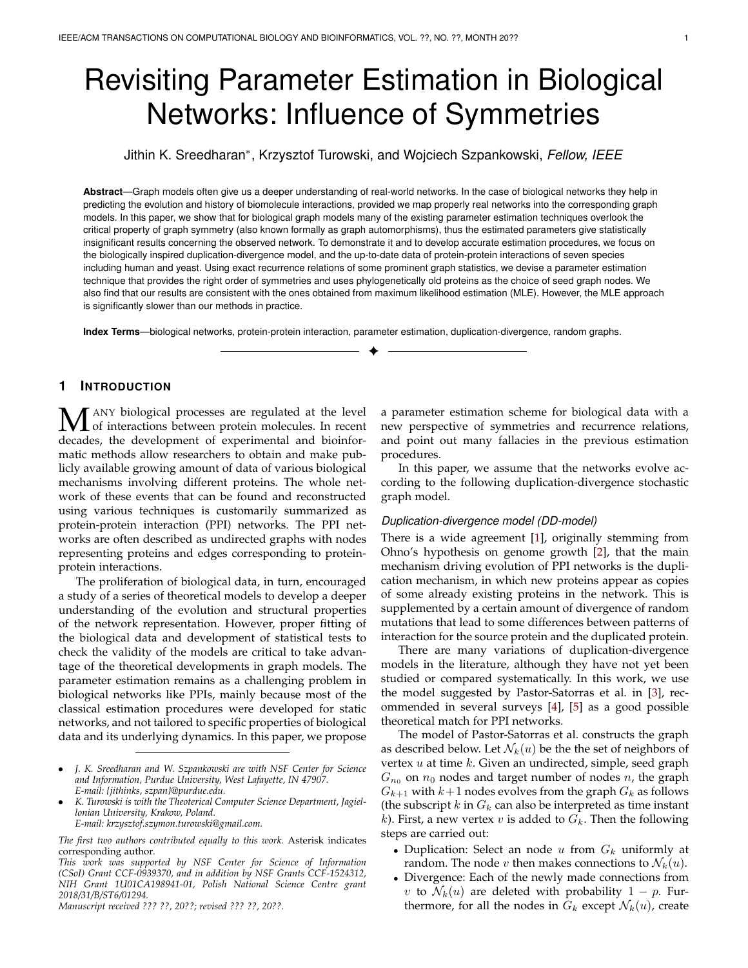| Organism        | $\mathsf{D}(\mathsf{G_{\mathrm{obs}}})$ | $E[D(G_n)]$ | p-value | $S_2(G_{obs})$ | $E[S_2(G_n)]$ | p-value | $C_3(G_{obs})$ | $E[C_3(G_n)]$ | p-value |
|-----------------|-----------------------------------------|-------------|---------|----------------|---------------|---------|----------------|---------------|---------|
| Baker's yeast   | 172.76                                  | 11510       | 0       | 22035M         | 45:33M        | 0       | 9:77M          | 370.49K       | 0       |
| <b>Human</b>    | 34:30                                   | 1939        |         | 5225M          | 7:02M         | 0       | 1:07M          | 105K          | 0       |
| Fruit y         | 13:11                                   | 7:87        |         | 294M           | 1:45M         | 0       | 195.96K        | 77:61K        | 0       |
| Fission yeast   | 27:64                                   | 6.72        |         | 7:42M          | 215:84K       | 0       | 22361K         | 1:14K         | 0       |
| Mouse-ear cress | 7:39                                    | 223         |         | 298M           | 44:46K        | 0       | 23:34K         | 23:27         | 0       |
| Mouse           | 5:35                                    | 0.82        |         | 295M           | 9:33K         | 0       | 10:22K         | 0:79          | 0       |
| Worm            | 4:04                                    | 0.90        |         | 34613K         | 5:32K         | 0       | 2:41K          | 0:49          | 0       |

TABLE 4: Comparison of certain graph statistics of the observed graph and that of the synthetic data with parameters estimated via the mean- eld approach.

| Organism        |      | Cutoff percentile |
|-----------------|------|-------------------|
| Baker's yeast   | 4:55 | 94.98             |
| Human           | 2:85 | 9233              |
| Fruit y         | 2:71 | 8800              |
| Fission yeast   | 2:43 | 8831              |
| Mouse-ear cress | 2:68 | 9389              |
| Mouse           | 2:29 | 7858              |
| Worm            | 2.41 | 8823              |

TABLE 5: Estimated power law exponent and required cutoff percentile with the mean- eld approach

of parameter estimation of real-world PPI networks, focus heavily on the asymptotic and steady-state behavior [3]. Most of the previous results on the functional form of certain graph statistics in the DD-model are under the strong assumption of steady-state [8], [29]. But they do not provide any theoretical proof for convergence to steadystate. Moreover, these steady-state asymptotic results, even when achievable, do not give any bounds on the rate of convergence. This, in turn, raises questions about the straightforward applicability of such theoretical results to parameter estimation.

The previously used methods of parameter estimation also suffer from another issue: for simplicity, they assume that the average degree of the network does not change during the whole evolution from  $\, \mathbf{G}_{\mathsf{n}_0}$  to  $\mathsf{G}_{\mathsf{n}}$  . This is not only highly implausible in practice, but also impose direct relation between p and r, and hides any dependency that might be discovered from various properties of the networks.

#### Seed graph choice

As shown by previous studies (most notably in Hormozidari et al. [5]), choice of the seed graph plays a signi cant role in graph evolution, directly contributing to the order of growth of many important graph statistics.

The seed graph is typically assumed to be the largest clique (or a connected graph of the largest two cliques) of the observed graph. Then random vertices and edges are gradually added to the network, preserving the average degree of the nal network, to make the size of the network to a xed value of  $n_0$ . This method is motivated by the in nitesimally small probability with which there could appear a clique of a greater size during graph evolution. Such a procedure has no formal theoretical guarantees and does not have any clear justi cation from a biological perspective [5].

Our natural approach to select the seed graph is based on the extra-network information about the estimated age of proteins, described in Section 2.1.

#### 5 MAIN RESULTS

Our main constructive results concern the relation between the parameters of the model and the number of symmetries exhibited by graphs generated from it. Additionally, we present two parameter estimation algorithms, one based on recurrences characteristic for certain graph statistics, the other based on the well-known maximum likelihood approach.

#### 5.1 Our method: parameter estimation using recurrence relations

Our basic tool to infer the parameters of DD-model for a given the PPI network is a set of the exact recurrence relations for basic graph statistics, which relate their values at time  $k$  and  $k + 1$  of graph evolution. Such recurrence relations are suf cient to estimate model parameters, as the whole sequence of graphs from the initial graph  $\, {\sf G}_{\sf n_{\sf 0}} \,$  to the nal graph  $\, {\mathsf G}_{{\mathsf n}} \,$  can be split into steps consisting of the addition of a single vertex and the changes introduced by the added vertex.

Typically, ve statistics of the random graph  $\, {\sf G}_{\sf n} \,$  are studied in literature: number of  $_{\mathbf{S}}$ dges  $\, \mathsf{E} \left( \mathsf{G}_{\mathsf{n}} \right)$ , mean degree stadied in iterature. Humber of gages  $E(G_n)$ , mean degree<br>of the network  $D(G_n) = n^{-1} \int_{R_1}^{n} deg_n(i)$ , mean squared degree  $D_2(G_n) = n^{-1}$   $\prod_{i=1}^n$  deg<sub>n</sub>(i), number of triangles (3-cliques)  $C_3(G_n)$ , and number of wedges $S_2(G_n)$  (wedges are also called2-stars or paths of length 2 in prior literature, and number of wedges includes counts of triangles and open triangles).

However, for every graph H on n vertices it is true that  $E(H) = \frac{n}{2}D(H)$  and  $S_2(n) = \frac{n}{2}(D_2(H) - D(H)).$ Therefore, it is suf cient to analyze only the three of abovementioned graph statistics:  $D(n)$ ,  $S_2(n)$  and  $C_3(n)$ .

As a rst step, we derive the following recurrence relations for the chosen statistics.

Theorem 1. If  $G_{n+1}$  DD-model  $(n + 1; p; r; G_n)$ , then  $E[D(G_{n+1})]G_n]$ 

$$
= D(G_n) \quad 1 + \frac{2p}{n+1} \quad \frac{2r}{n(n+1)} + \frac{2r}{n+1}
$$
\n
$$
E[D_2(G_{n+1})]G_n]
$$
\n
$$
= D_2(G_n) \quad 1 + \frac{2p+p^2}{n+1} \quad \frac{2r(1+p)}{n(n+1)} + \frac{r^2}{n^2(n+1)}
$$
\n
$$
+ D(G_n) \quad \frac{2p}{n+1} \quad \frac{p^2+2pr+2r}{n+1} \quad \frac{2r+2r^2}{n(n+1)} + \frac{r^2}{n^2(n+1)}
$$
\n
$$
+ \frac{2r^2+2r}{n+1} \quad \frac{r^2}{n(n+1)}
$$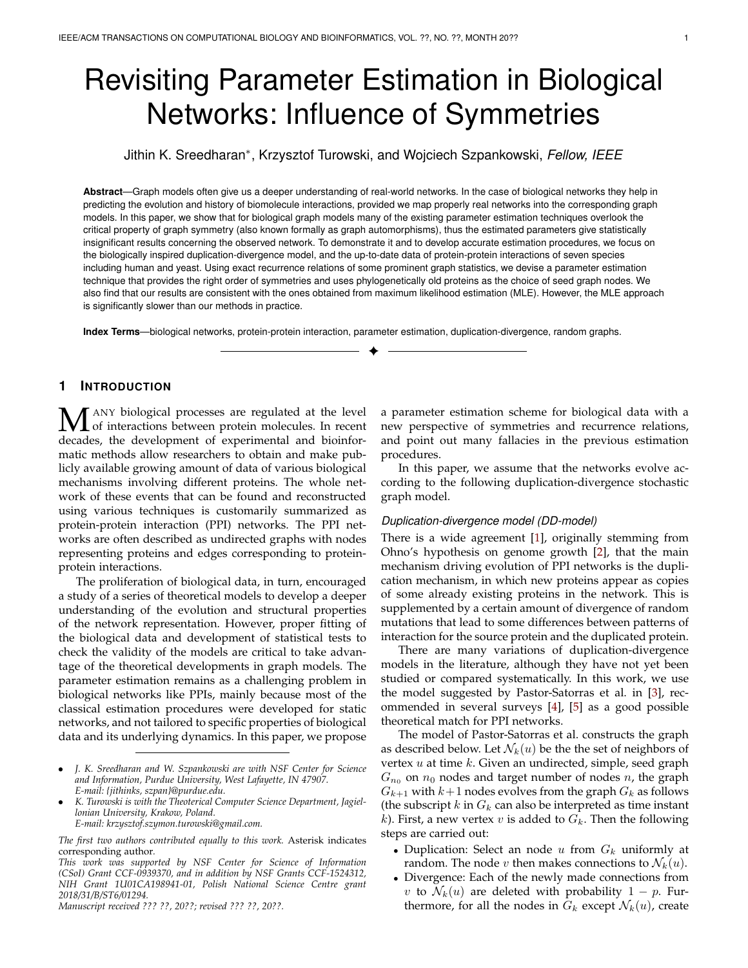$\Box$ 

$$
E[C_{3}(G_{n+1})]G_{n}]
$$
\n
$$
= C_{3}(G_{n}) \quad 1 + \frac{3p^{2}}{n} \quad \frac{6pr}{n^{2}} + \frac{3r^{2}}{n^{3}}
$$
\n
$$
+ D_{2}(G_{n}) \quad \frac{pr}{n} \quad \frac{r^{2}}{n^{2}} + D(G_{n}) \frac{r^{2}}{2n}
$$
\n
$$
E[S_{2}(G_{n+1})]G_{n}]
$$
\n
$$
= S_{2}(G_{n}) \quad 1 + \frac{2p + p^{2}}{n} \quad \frac{2(p+1)r}{n^{2}} + \frac{r^{2}}{n^{3}}
$$
\n
$$
+ D(G_{n}) \quad pr + p + r \quad \frac{pr + r + r^{2}}{n} + \frac{r^{2}}{n^{2}} + \frac{r^{2}}{2} \quad \frac{r^{2}}{2n}.
$$

Proof. See Section 9.

In Figure 4, we verify Theorem 1 by comparing  $E[D_n]$ , for various n, computed using theory and experiments.

The expressions given in Theorem 1 implicitly de ne a function  $E[D(G_n)$ j $G_{n_0}] = F_D(n; p; r; G_{n_0})$ , which is a cornerstone of our algorithm. Similar functions exist for recurrences based on other statistics of  $G_{n_0}$  and  $G_n$ . Now we claim that the result of Theorem 1 in terms of expectation can be used for the graph statistics with high probability too. Figure 5 shows the concentration of empirical distribution of different graph statistics.

Although we don't need an explicit formula for  $F_D$  in our algorithm, we may derive one from the recurrences:

$$
E[D(G_n)jG_{n_0}] = D(G_{n_0}) \frac{N^1}{k+n_0} \quad 1 + \frac{2p-1}{k+1} \quad \frac{2r}{k(k+1)}
$$
  
+ 
$$
\frac{N^1}{k+n_0} \frac{2r}{k+1} \frac{N^1}{k+1} \quad 1 + \frac{2p-1}{k+1} \quad \frac{2r}{k(k+1)} \quad \vdots
$$

Although this is outside of the scope of this article, we note that such an expression allows us to nd, for example, the asymptotic order of growth for  $D(G_n)$  and for other statistics.

Though closed form solution of recurrences with  $G_n$  and  $G_{n_0}$  could be dif cult to obtain, Theorem 1 is suf cient to formulate an ef cient algorithm for nding the parameters of the model. The crucial feature is that all parameters are monotonic, that is, the larger the parameters p and r, the larger the values of  $D(G_n)$  and other statistics.

Algorithm 1 presents our estimation technique for nding **b** with the recurrence relation for  $D(G_n)$  (which will be  $D(G<sub>obs</sub>)$  when we consider real-world network), assuming b is known beforehand. However, suf-cient number of samples of b from the interval  $[0; n_0]$  is adequate to get a feasible solution set of  $f(p; b)g$  with a desired resolution. The algorithm also works for recurrence relations of  $S_2(G_n)$ and  $C_3(G_n)$  with evident modi cations.

We note here that for each graph property under consideration,  $D$ ,  $S_2$  or  $C_3$ , the estimation algorithm returns a curve (more precisely, a set of feasible points). Now, if we -nd a concurrence in the solutions to the recurrence relations of various graph statistics, we know that a necessary condition for the presence of duplication-divergence model has been satis ed. On the other hand, if the curves were not having a common crossing point, it suggests that the DD-model may not be the appropriate t for the observed network. We denote the above estimation procedure using

Algorithm 1 Estimation of p via recurrence relation of  $D(G_n)$ .

1: function RECURRENCE-RELATION  $(n, r, G_{n_0}, D(G_n),$ ") 2:  $D_{min}$   $F_D$  (n; 0; r;  $G_{n_0}$ ),  $D_{max}$ ), D<sub>max</sub> F<sub>D</sub> (n; 1; r; G<sub>n<sub>0</sub>)</sub> 3: if  $D_{min} > D(G_n)$  or  $D_{max} < D(G_n)$  then 4: return "no suitable solution for p" 5: **p**<sub>min</sub> 0, **p**<sub>max</sub> 1 6: while  $p_{max}$   $p_{min}$  > " do 7:  $p^0 \tfrac{p_{min} + p_{max}}{2}$ ,  $D^0 \t F_D(n; p_0^0, r; G_{n_0})$ 8: if  $D^0 < D(G_n)$  then  $p_{min}$  p  $^{0}$  else p $_{\rm max}$  p  $p<sup>0</sup>$ 9: return p<sub>min</sub>

the recurrence relations of all three graph statistics as the RECURRENCE-RELATION method.

5.2 Parameter estimation via maximum likelihood method

An alternative way of estimating parameters of the DD-model is the maximum likelihood estimation (MLE). With MLE, the estimated parameters  $\mathbf b$  and  $\mathbf b$  are given by max  $_{=(p,r)} L($ ; G<sub>n</sub>), where the likelihood function is L(; G<sub>n</sub>) is the probability of generating  $G_n$  from  $G_{n_0}$  for -xed parameters , i.e.

$$
L(\; ; G_n) := Pr(\; G_n)G_{n_0}; \; )
$$
\n
$$
= \qquad Pr(G_k)G_{k-1}; \; )
$$
\n
$$
= \qquad Pr(G_k)G_{k-1}; \; )
$$

 $G_{n_0+1}$  ;:::;G  $_{n-1}$  ;G  $_{n}$  2G (G  $_{n_0}$  ;G  $_{n}$  ) k = n<sub>0</sub>+1 where  $\mathsf{G}(\mathsf{G}_{\mathsf{n}_0};\mathsf{G}_{\mathsf{n}})$  is the set of all sequences of graphs that starts with  $\, {\sf G}_{\sf n_{0}} \,$  and ends at  ${\sf G}_{\sf n} \, .$  Given a  $\,$  xed sequence of graph evolution history  $(G_{n_0};\ldots;G_{n-1};G_n)$ , it is straightforward to calculate the likelihood, but  $L($ ; G<sub>n</sub>) requires summation over all histories, which has exponential number of possibilities. In [17], the authors present an importance sampling strategy to approximate the likelihood and thereby estimate the parameters. It is based on the idea of traversing backwards in history ( $G_n$  to  $G_{n-1}$  and  $G_{n-1}$ to  $G_{n-2}$  likewise) on one sample path of graph evolution sequence via Markov chain. We adapt their algorithm to our DD-model and the complete algorithm is presented later in Section 8.

We now provide a brief description of the importance sampling procedure. The idea is to express likelihood in terms of a known reference parameter  $_0$  instead of unknown . Now, the likelihood can be rewritten as an expectation with respect to  $_0$  and can be estimated via Monte Carlo simulations (see [17] for more details): 3

where

$$
k = n_0
$$
  
\nS( o; ; G<sub>k</sub>; v) =  $\frac{1}{k}$ ! (G<sub>k</sub>; ; v)  $\frac{! (G_k; o)}{! (G_k; o; v)}$ :

S(  $_0$ ; ; G  $_k$ ; v)

 $5\frac{1}{2}$ 

L(;G<sub>n</sub>) = E<sub>0</sub><sup>4</sup>  $\gamma$ 

 $\frac{1}{1}$  (G<sub>k</sub>; 0; v)<sup>:</sup> Here !  $(G_k; ; v)$  is the probability of creating the graph  $G_k$ from  $G_{k-1}$  through the addition of a node v, with parameter as . v can be chosen as any node in  $G_k$  such that its removal would result in a positive probability  $G_{k-1}$  under the DDmodel. The variable !  $(G_k; )$  is the transition probability !  $(G_k; ; v)$ , summed over all possible v. In fact, !  $(G_k; ; v)$ itself is the normalized sum of  $! (G_k; ; v; w)$ , over all possible nodes w, which is the probability of producing a graph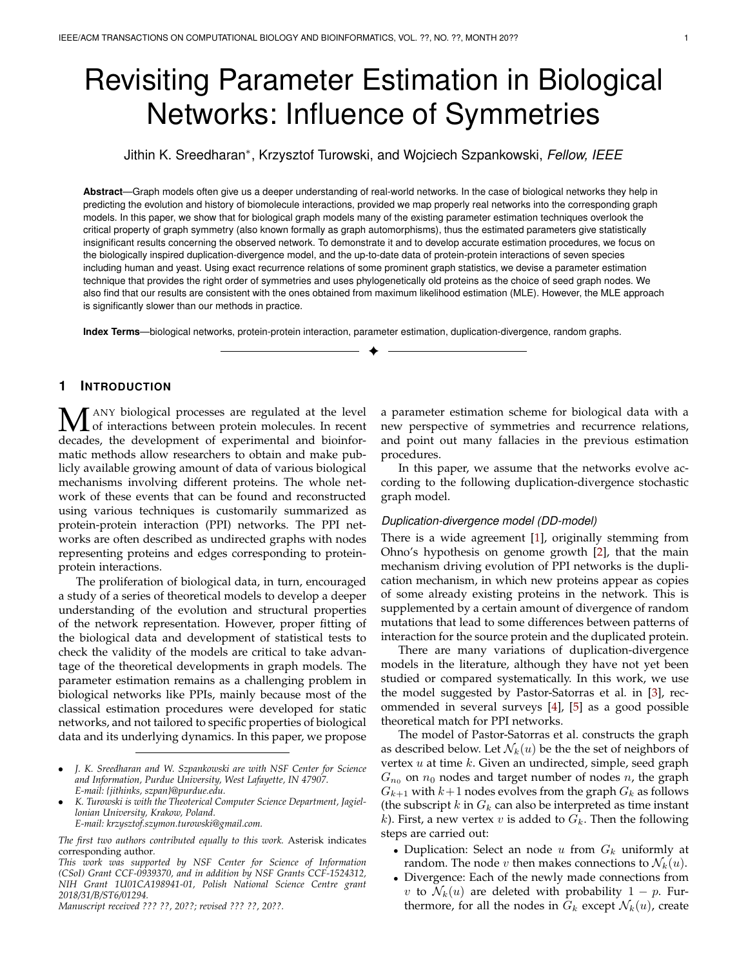# (a)  $G_n$  DD-model (100; 0:2; 1:5; K <sub>10</sub>) (b)  $G_n$  DD-model (100; 0:5; 1:5; K <sub>10</sub>) (c)  $G_n$  DD-model (100; 0:8; 1:5; K <sub>10</sub>)

Fig. 4: Comparison of  $E[D(G_n)]$  computed via Theorem 1 and via experiments.

| (a) Distribution of $D(G_n)$ : | (b) Distribution of $D_2(G_n)$ : (c) Distribution of $S_2(G_n)$ : |                | (d) Distribution of $C_3(G_n)$ : |
|--------------------------------|-------------------------------------------------------------------|----------------|----------------------------------|
| $CV = 10:57\%$                 | $CV = 17:99\%$                                                    | $CV = 18:01\%$ | $CV = 22:90\%$                   |

Fig. 5: Empirical distribution of graph statistics:  $G_n$  DD-model (100; 0:5; 1:5; K<sub>10</sub>). Coef cient of variation CV is de ned as the ratio of empirical standard deviation and empirical mean. The lower values of CV in the sub-gures show the concentration of the considered graph statistics.

 $G_k$  from  $G_{k-1}$  by adding a node v that is duplicated from node w.

5.3 Computational complexity of parameter estimation methods

Let us now assume that the  $n_0$  is xed and we are interested in results up to a resolution ", that is, the values of p and r are stored in such a way that two numbers within a distance less than " are indistinguishable.

For our algorithm 1, R ECURRENCE-RELATION , a single pass requires  $\frac{1}{n}$ , as it uses a binary search for p and for every intermediate value of p it executes exactly  $n_0$  steps of for loop, each requiring constant time. Now it is suf-cient to sample  $\frac{n_0}{n}$  different values of r, therefore the total running time to nd suitable  $(p; b)$  pairs is  $n^{\frac{1}{n}} \log \frac{1}{n}$ .

On the other hand, the MLE algorithm needs to compute at every step values of the ! function for all possible pairs of v and w for each graph  $G_k$ . This is the case because in DD-model every vertex v could be a duplicate of every other vertex w always with some non-zero probability at every stage of the algorithm. This means that we require  $\binom{k}{p}$  steps at each iteration of the algorithm; therefore  $h_{k=n_0}^{n}$  k<sup>2</sup> = ( n<sup>3</sup>) steps in total. Unfortunately, even clever bookkeeping and amortization is not much of a help here.

Additionally, we need to estimate the likelihood for each pair (p; r) independently, as maximum likelihood function does not have the monotonicity property, so it requires in total  $\frac{3}{2}$  steps to nd all feasible pairs up to a desired resolution of .

Moreover, as it was suggested by Wiuf et al. in [17], importance sampling provides good quality results only for at least 1000 independent trials. This adds up a constant factor not visible in the bignotation, but signi cant in

practice, effectively making the algorithm infeasible for the real-world data without using supercomputer power.

#### 6 NUMERICAL EXPERIMENTS

In this section, we evaluate our methods on synthetic graphs and real-world PPI networks.

We made publicly available all the code and data of this project at https://github.com/krzysztof-turowski/ duplication-divergence. The code supports random graph models and real-world networks.

#### Estimation of tolerance interval

We nd the tolerance interval of the estimated p and r values for the tted DD-model as follows. For a given network  $\, {\sf G}_{\sf obs}$  and a seed graph ${\sf G}_{\sf n_0},\,$  rst the <code>R</code> <code>ECURRENCE-</code> RELATION algorithm outputs a set of solutions  $f(\mathbf{p}; b)$ g. For each of the feasible pairs, we then estimate the con- -dence interval of the graph property with which recurrence was calculated. For instance, if the property used was the empirical mean D, graph samples generated from DD-model (n;  $\mathsf{b}; \mathsf{b}; G_{n_0}$ ) are used to estimate expectation  $E[D(G_n)]$  and variance  $Var[D(G_n))]$ . A 95% con-dence interval of  $D(G_n)$  is then given by the values

#### $E[D(G_n)]$  1:96 Var[D $(G_n)$ ]:

The Gaussian distribution assumption used in the above expression is indeed a good approximation for the distribution of  $D$  for large n. Now by xing  $\mathbf{p}$ , we can calculate a tolerance interval  $(b_{min};b_{max})$  for the estimated parameter b. In the following experiments, for demonstrating the above approach, we focus on two graph statistics  $D$  and  $C_3$ (parameter estimation will include  $S_2$  too).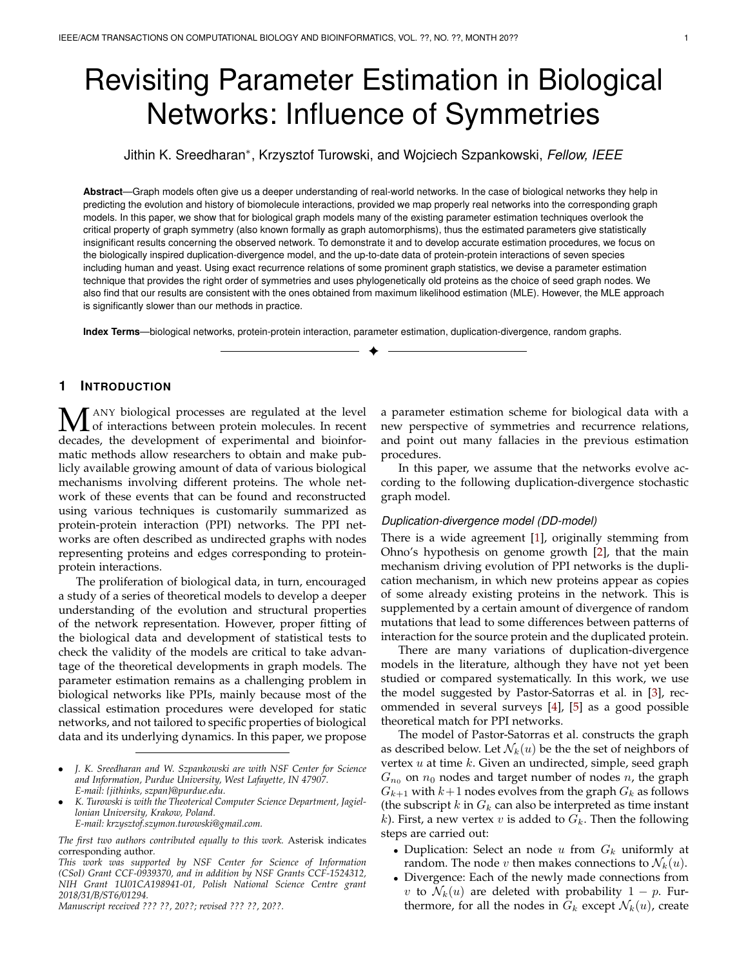Parameter estimation procedure for the experiments

Our parameter estimation procedure can be summarized follows:

- 1) We employ the RECURRENCE-RELATION algorithm for solving graph recurrences of the three graph statistics D,  $S_2$  and  $C_3$ , and we identify a set of solutions for p and r.
- 2) With  $G_n$  DD-model (n;  $p;$  t  $G_{n_0}$ ), we nd the tolerance interval of b using the con dence interval of  $D(G_n)$  and  $C_3(G_n)$ , as explained in the above subsection.
- 3) We look for crossing points of the plots in the gure, and the range of values of p and r where the con dence intervals meet around the crossing point. We call such a range of values asfeasible-box.
- 4) Though any point in the feasible-box is a good estimate of p and r, to improve the accuracy, we uniformly sample a -xed number of points from the box and choose the pair that gives maximum p-value with respect to the number of automorphisms of the given graph  $G_{obs}$ .

The Theorem 1 provides theoretical guarantees (in the expected sense) for the RECURRENCE-RELATION algorithm and the idea of convergence of the three curves, the solution set of  $D$ ,  $S_2$  and  $C_3$  statistics, in the above estimation procedure. But in practice, we allow some discrepancy in the convergence of the three curves. In the following experiments, we declare that the DD-model ts the given dataset when at least two curves converge and there is an intersection among the con dence intervals of the three curves or when one curve and the con dence interval of another curve intersect.

#### 6.1 Synthetic graphs

In this section, we derive preliminary insights by studying our method and maximum likelihood estimation (MLE) empirically on synthetic data. See Sections 5.2 and 8 for the MLE implementation. We note here that the infeasibility of the MLE method for large graphs (e.g. with tens of thousands of vertices) is already explained in Section 5.3 and the comparison, in this section, between our method and the MLE on small graphs is provided only to prove the competitiveness of our approach as to the MLE method.

We generate two random graph samples  $\mathsf{G}^{(1)}_{\mathsf{n}}$  and  $\mathsf{G}^{(2)}_{\mathsf{n}}$ from the DD-model with the following parameters:

 $\mathsf{G}^{(1)}_\mathsf{n}$ DD-model (n = 100; p = 0:1; r = 0:3; G<sub>n<sub>0</sub></sub> = K<sub>20</sub>);

$$
G_n^{(2)} \qquad \text{DD-model (n = 100; p = 0:99; r = 3:0; G_{n_0} = K_{20})}
$$

The choice of parameters in  $G_n^{(1)}$  and  $G_n^{(2)}$  show different regimes in the following studies. Moreover the parameters are chosen in such a way that the generated graphs have non-trivial symmetries.

Figures 6a and 6b plot the sets of feasible points identi ed by the recurrence relations using R ECURRENCE-RELATION method. The light shaded bands show the tolerance intervals of r. We observe that the crossing points and the tolerance intervals are fairly close to the original parameters. Figures 6c and 6d display the heat-plot of loglikelihood function of the MLE for different values of the parameters and the maximum value of the log-likelihood in the heat-plot will give the parameters outputted by the MLE. The log-likelihood function maximizes at (p; r) pairs

close to the original parameters, but not up to the resolution of RECURRENCE-RELATION method.

In Table 6 we produce the statistical signi cance of the best estimated parameter pairs via both the RECURRENCE-RELATION and the MLE. The best pair is found in the RECURRENCE-RELATION method from 1000 uniform samples in the feasible-box centered at the point where the three curves are in agreement, and for the MLE, it is found from 1000uniform samples in the maximum log-likelihood area if no unique maximizer exists. The estimates from both the techniques demonstrate the presence of the DD-model in the given graphs  $G_n^{(1)}$  and  $G_n^{(2)}$  (p-value > 0:1), the best pair of R ECURRENCE-RELATION estimator has much higher p-value and certainly outperforms MLE.

We note that for the rst graph  $G_n^{(1)}$  the results obtained by both methods are almost identical, in terms of E[logjAut( $G_n$ )j] and p-values. For the second graph  $G_n^{(2)}$ , the log-likelihood function of MLE is nearly at for large values of p, and thus MLE returns less reliable estimates in turn results in a larger deviation of the number of automorphisms from the observed graph. Our algorithm on the other hand provides a better estimate even when p is close to 1. To sum up, we nd that our algorithm does not perform worse than MLE in terms of quality and achieves better performance than MLE when p is high. It also has much lower computational complexity than the MLE. The MLE requires more than 1 million computations for this particular example, where as RECURRENCE-RELATION needs only at most 100 computations (scaling factors excluded). Detailed complexity calculations are provided in Section 5.3.

#### 6.2 Real-world PPIs

We apply recurrence-based estimator to PPI networks of seven species listed in Table 2. As mentioned in Section 2.1, the seed graph $\, \mathsf{G}_{\mathsf{n}_0} \,$  is assumed as the graph induced by the nodes having the largest phylogenetic age.

The MLE solution is almost impossible to calculate for the PPI networks. Even for the smallest PPI network (Worm), MLE requires around 58 billion computations to obtain a result for a single (p; r) parameter set.

Figure 7 presents plots of RECURRENCE-RELATION estimator for seven species. In all the gures, the plots meet or come very close at a speci c point. This illustrates the presence of the DD-model in all the considered species. Furthermore, Table 7 calculates the statistical signi cance of the tted DD-model with respect to the number of automorphisms in the observed PPI networks. The estimated p-values are remarkably high and most often much larger than 0:4 (except in one case), demonstrating that the tted DD-models exhibit symmetries closer to the real-world PPIs.

#### 7 DISCUSSION

We focus in this work on tting dynamic biological networks to a probabilistic graph model, from a single snapshot of the networks. Our attention here is on a key characteristic of the networks – the number of automorphisms – that is often neglected in modeling. Using the number of automorphisms as a measure to sample parameters from the parameter space may raise serious questions about its practicality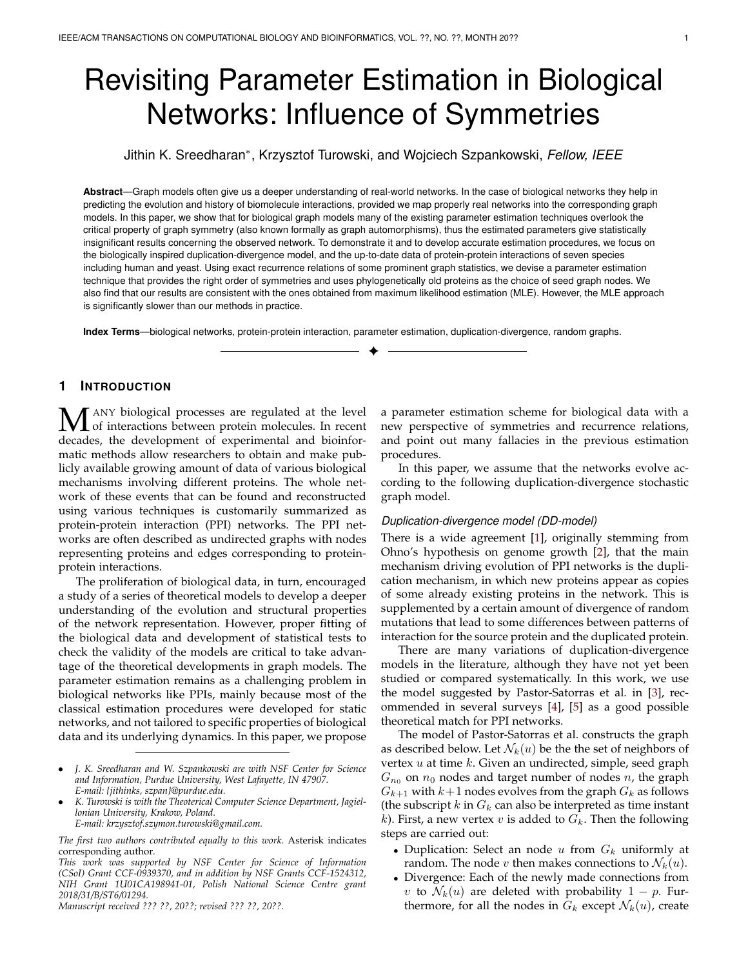(a) RECURRENCE-RELATION :  $G_n^{(1)}$  DD-model (100; 0:1; 0:3; K <sub>20</sub>). (b) RECURRENCE-RELATION :  $G_n^{(2)}$  DD-model (100; 0:99; 3:0; K <sub>20</sub>)

(c) MLE: log-likelihood with

 $G_n^{(1)}$  DD-model (100; 0:1; 0:3; K<sub>20</sub>).

(d) MLE: log-likelihood with  $G_n^{(2)}$  DD-model (100; 0:99; 3:0; K<sub>20</sub>)

Fig. 6: Results on synthetic networks: RECURRENCE-RELATION and maximum likelihood estimation (MLE) methods

|                                              |                      | <b>RECURRENCE-RELATION</b> |           |                    |                |     | MLE        |                     |            |
|----------------------------------------------|----------------------|----------------------------|-----------|--------------------|----------------|-----|------------|---------------------|------------|
| Model parameters                             | $logiAut(G_{obs})$ i |                            | b         | $E[log jAut(G_n)]$ | p-value        |     | b.         | $E[log iAut(G_n)i]$ | p-value    |
| $p = 0:1, r = 0:3$<br>$p = 0:99$ , $r = 3:0$ | 81:963<br>16:178     | 0.09<br>0.99               | 0:3<br>25 | 81:974<br>16.588   | 0.980<br>0.980 | 095 | 0.3<br>0.3 | 78.794<br>0:368     | 0.820<br>0 |

TABLE 6: Results on synthetic networks: average number of automorphisms and p-value

| Organism        | b     | b    | $E[log iAut(G_n)i]$ | p-value |
|-----------------|-------|------|---------------------|---------|
| Baker's yeast   | 0:98  | 0.35 | 29327               | 0.71    |
| Human           | 0:64  | 0.49 | 299881              | 0.51    |
| Fruit y         | 0:53  | 0.92 | 107383              | 0.64    |
| Fission yeast   | 0:983 | 0.85 | 705278              | 0.74    |
| Mouse-ear cress | 0:98  | 0.49 | 621036              | 0.13    |
| Mouse           | 0:96  | 0.32 | 8067.56             | 0.67    |
| Worm            | 0:85  | 0.35 | 335291              | 0.48    |

TABLE 7: Parameters of the real-world PPI networks estimated using RECURRENCE-RELATION method

(like some slower maximum likelihood estimation methods for graph tting). To address this, our approach in this paper to combine the number of symmetries with a faster method of recurrence relations, which allows us to narrow down the parameter search, nds high relevance in practice.

We argue that many existing parameter estimation techniques fail to take into account the number of symmetries of real-world networks, leading to serious concerns in the -tting methodology. Previous studies made unrealistic assumptions like the steady-state behavior of the model, and

it could be the reason behind erroneous estimates. Our proposed tting method based on exact recurrence relations, derived from rigorous theory, with minimal assumptions works well on synthetic data and real-world protein-protein interaction (PPI) networks of seven species. We also formulate a simple statistical test in terms of the number of symmetries. Since the PPI networks are expanding with new protein-protein interactions getting discovered, we make sure to use up-to-date data so that the tted parameters in this paper can serve as a benchmark for future studies.

We note here that the method introduced in this work is applicable to a variety of dynamic network models, as for many models there exist recurrence relations similar to the ones presented here. A systematic way of parameter estimation can also be seen as an introductory work to other important problems in biological networks. One example of such a problem is the temporal order probler[30]: given a network, the task is to recover the chronology of the node arrivals in the network. Parameter estimation provides us with better knowledge about the speci c characteristics of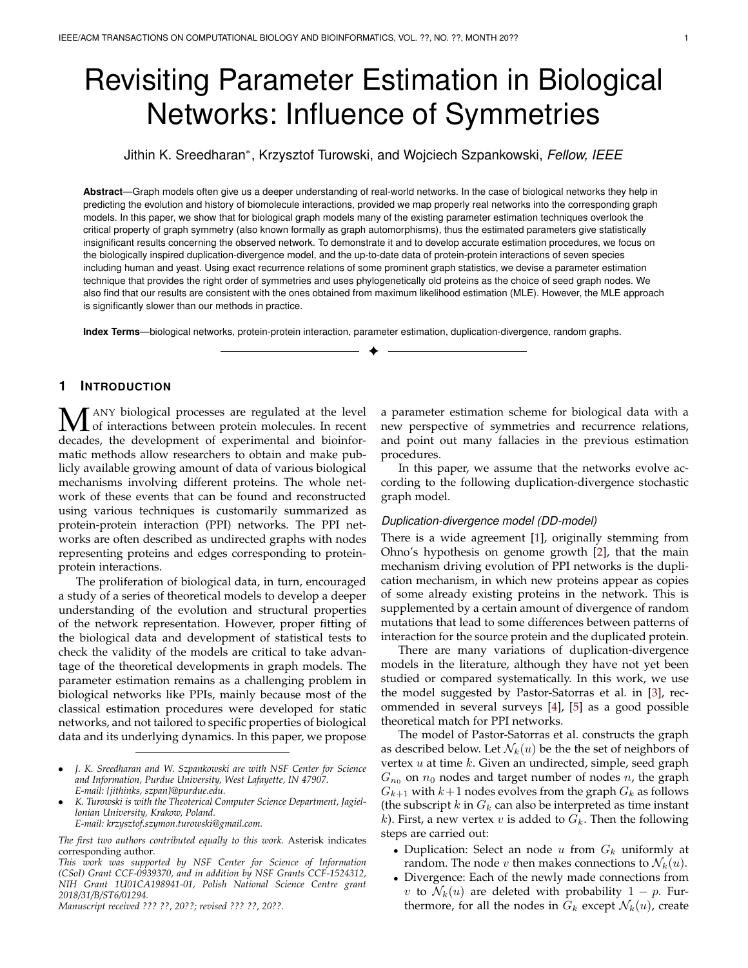

Fig. 7: Results on PPI networks: RECURRENCE-RELATION method

the model that retains temporal information in its structure.

#### <span id="page-10-0"></span>**8 MAXIMUM LIKELIHOOD ALGORITHM**

Function MAXIMUMLIKELIHOODVALUE, as shown below in Algorithm [2,](#page-10-2) presents a single pass of the MLE technique. Here  $\theta_0 = (p_0, r_0)$  is the initial parameter set which can be chosen with some extra knowledge of the given network or even arbitrarily; but with a proper choice of  $\theta_0$ , a faster convergence to the true value of likelihood is guaranteed.

We note here that the MLE procedure has to be run multiple times, and the average of the  $L$ 's (see algorithm) from the multiple runs gives an estimate of the likelihood at the inputted  $(p, r)$ . The procedure needs to be repeated for all the relevant  $(p, r)$  pairs. The estimated parameters are the points for which the likelihood function is maximized. See Section 5.2 for details.

### <span id="page-10-1"></span>**9 PROOF OF THEOREM 1**

Let  $\deg_t(s)$  be the degree at time  $t$  of a vertex added at time s, which is same as node label s, and parent(t) be a vertex which was chosen from  $G_{t-1}$  for the duplication step at time t.

It follows from the definition of the model that degree of the new vertex  $n + 1$  is the total number of edges from the vertex  $n + 1$  to  $\mathcal{N}_n$ (parent $(n + 1)$ ) (each <span id="page-10-2"></span>**Algorithm 2** Single run for the likelihood value computation.

```
function MAXIMUMLIKELIHOODVALUE(G, n, n_0, p, r, p_0,r_0L \leftarrow 1for k = n, n - 1, \ldots, n_0 + 1 do
           Pick v at random with Pr[v] \sim \omega(G, p_0, r_0, v)L \leftarrow L \cdot \frac{1}{k}\frac{\sum_{u \geq G} \omega(G, p_0, r_0, u)}{\omega(G, p_0, r_0, v)} \omega(G, p, r, v)Remove v from \hat{G}return L
function \omega(G, p, r, v)sum \leftarrow 0, n \leftarrow |V(G)|for u \in V(G), u \neq v do
           both \leftarrow |\mathcal{N}_n(u) \cap \mathcal{N}_n(v)|only_v \leftarrow |\mathcal{N}_n(v) \setminus \mathcal{N}_n(u)|only_u \leftarrow |\mathcal{N}_n(u) \setminus \mathcal{N}_n(v)|none \leftarrow n - |\mathcal{N}_n(u) \cup \mathcal{N}_n(v)|sum += p^{both} \frac{r}{n}\int_0^{\infty} (1-p)^{\text{only}} q^{-\frac{r}{n}}none
     return sum
```
of which is formed from choosing nodes independently from  $\mathcal{N}_n$ (parent $(n + 1)$ ) with probability p) and to all other vertices (each of which is formed from nodes chosen independently from a set  $V(G_n)\backslash N_n(\text{parent}(n+1))$  with probability  $\frac{r}{n}$ ).

It can be then expressed as a sum of two independent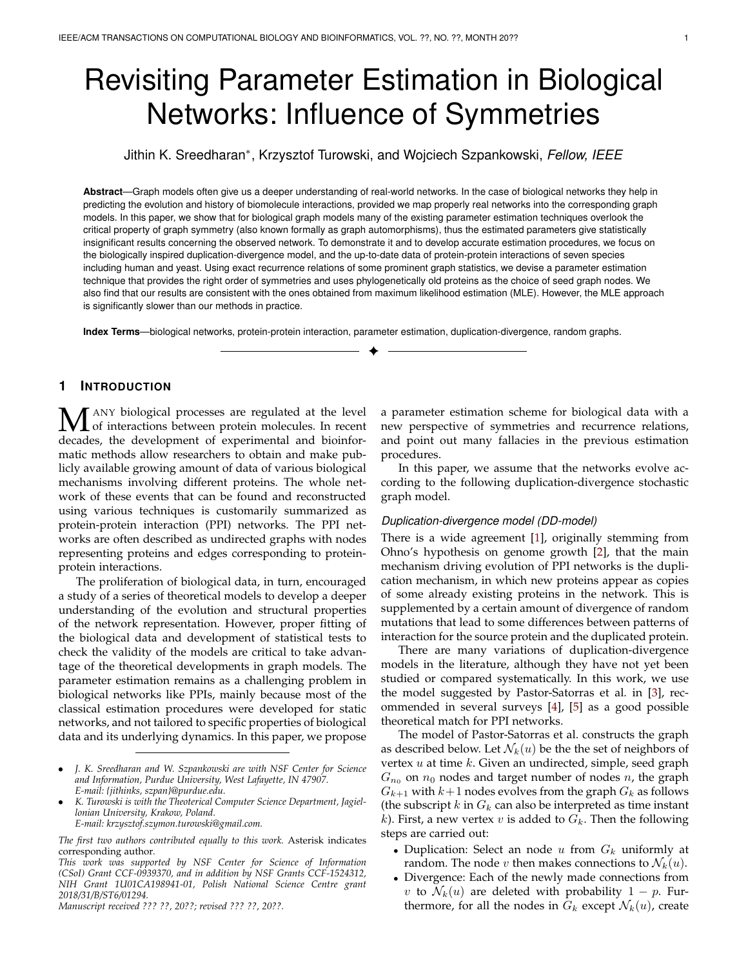#### binomial variables:

$$
\begin{aligned} \deg_{n+1}(n+1) &\sim \text{Bin}\left(\deg_n(\text{parent}(n+1)), p\right) \\ &+ \text{Bin}\left(n - \deg_n(\text{parent}(n+1)), \frac{r}{n}\right). \end{aligned}
$$

# 1. Recurrence for  $D(G_n)$ .

$$
\begin{aligned}\n& \mathsf{E}[\deg_{n+1}(n+1) \quad G_n] \\
& \qquad \mathsf{F}^{-1} \\
& = \qquad \Pr(\deg_n(\text{parent}(n+1)) = k \quad G_n) \\
& \qquad \mathsf{F}^{-1} \\
& \qquad \mathsf{F}^{-1} \\
& \qquad \mathsf{F}^{-1} \\
& \qquad \mathsf{F}^{-1} \\
& \qquad \mathsf{F}^{-1} \\
& \qquad \mathsf{F}^{-1} \\
& \qquad \mathsf{F}^{-1} \\
& \qquad \mathsf{F}^{-1} \\
& \qquad \mathsf{F}^{-1} \\
& \qquad \mathsf{F}^{-1} \\
& \qquad \mathsf{F}^{-1} \\
& \qquad \mathsf{F}^{-1} \\
& \qquad \mathsf{F}^{-1} \\
& \qquad \mathsf{F}^{-1} \\
& \qquad \mathsf{F}^{-1} \\
& \qquad \mathsf{F}^{-1} \\
& \qquad \mathsf{F}^{-1} \\
& \qquad \mathsf{F}^{-1} \\
& \qquad \mathsf{F}^{-1} \\
& \qquad \mathsf{F}^{-1} \\
& \qquad \mathsf{F}^{-1} \\
& \qquad \mathsf{F}^{-1} \\
& \qquad \mathsf{F}^{-1} \\
& \qquad \mathsf{F}^{-1} \\
& \qquad \mathsf{F}^{-1} \\
& \qquad \mathsf{F}^{-1} \\
& \qquad \mathsf{F}^{-1} \\
& \qquad \mathsf{F}^{-1} \\
& \qquad \mathsf{F}^{-1} \\
& \qquad \mathsf{F}^{-1} \\
& \qquad \mathsf{F}^{-1} \\
& \qquad \mathsf{F}^{-1} \\
& \qquad \mathsf{F}^{-1} \\
& \qquad \mathsf{F}^{-1} \\
& \qquad \mathsf{F}^{-1} \\
& \qquad \mathsf{F}^{-1} \\
& \qquad \mathsf{F}^{-1} \\
& \qquad \mathsf{F}^{-1} \\
& \qquad \mathsf{F}^{-1} \\
& \qquad \mathsf{F}^{-1} \\
& \qquad \mathsf{F}^{-1} \\
& \qquad \mathsf{F}^{-1} \\
& \qquad \mathsf{F}^{-1} \\
& \qquad \mathsf{F}^{-1} \\
& \qquad \mathsf{F}^{-1} \\
& \qquad \mathsf{F}
$$

Since in the definition of the model it is stated that the parent is selected uniformly at random, we know that  $Pr(\text{parent}(n+1) = i \mid G_n) = \frac{1}{n}$  and therefore

$$
D(G_n) = \begin{cases} \n\mathcal{R} & \text{Pr}(\text{parent}(n+1) = i \quad G_n) \deg_n(i) \\ \n\mathcal{R}^{-1} & \text{for } n \neq i \n\end{cases}
$$
\n
$$
= \begin{cases} \n\mathcal{R}^{-1} & \text{for } n = k \text{.}\n\end{cases}
$$

Combining the last two equations, we get

$$
E[\deg_{n+1}(n+1) \ G_n] = p - \frac{r}{n} \ D(G_n) + r.
$$

Using the above, we find the following recurrence for the mean degree of  $G_{n+1}$ :

$$
E[D(G_{n+1}) \t m G_n] \qquad #
$$
  
=  $\frac{1}{n+1} E \qquad \deg_{n+1}(i) \qquad G_n$   
=  $\frac{1}{n+1} \qquad \deg_n(i) + 2E \deg_{n+1}(n+1) \qquad G_n$   
=  $\frac{1}{n+1} nD(G_n) + 2E[\deg_{n+1}(n+1) \qquad G_n]$   
=  $D(G_n) \qquad 1 + \frac{2p-1}{n+1} - \frac{2r}{n(n+1)} \qquad + \frac{2r}{n+1}.$ 

Now from the law of total expectation:

$$
E[D(G_{n+1})]
$$
  
=  $E[D(G_n)] \quad 1 + \frac{2p-1}{n+1} - \frac{2r}{n(n+1)} + \frac{2r}{n+1}.$ 

# 2. Recurrence for  $D_2(G_n)$ .

$$
E[\deg_{n+1}^{2}(n+1) G_n]
$$
  
=  $\sum_{k=0}^{\infty} Pr(\deg_n(\text{parent}(n+1)) = k G_n)$   
 $\times \sum_{a=0}^{\infty} \sum_{n=0}^{\infty} p^a (1-p)^{k-a}$ 

$$
\frac{\partial^2 F}{\partial x^2} = \frac{1}{2} \int_{b=0}^{b} \frac{1}{n} dx + \int_{a=0}^{b} (a+b)^2 dx
$$
  
\n
$$
= \int_{k=0}^{b} \Pr(\deg_n(\text{parent}(n+1)) = k \ G_n)
$$
  
\n
$$
\times k^2 p^2 - \frac{2pr}{n} + \frac{r^2}{n^2} + k \ p - p^2 + 2pr - \frac{r+2r^2}{n}
$$
  
\n
$$
+ r^2 + r - \frac{r^2}{n}
$$
  
\n
$$
= D_2(G_n) p^2 - \frac{2pr}{n} + \frac{r^2}{n^2}
$$
  
\n
$$
+ D(G_n) p - p^2 + 2pr - \frac{r+2r^2}{n} + \frac{r^2}{n^2}
$$
  
\n
$$
+ r^2 + r - \frac{r^2}{n},
$$
  
\n
$$
\text{since we have, as before.}
$$

since we have, as before,  $\mathbf{v}$ 

$$
D_2(G_n) = \bigcap_{i=1}^{N} \Pr(\text{parent}(n+1) = i \ G_n) \deg_t^2(i)
$$

$$
= \bigcap_{k=0}^{N+1} \Pr(\deg_n(\text{parent}(n+1)) = k \ G_n)k^2.
$$

Now we proceed with the second moment of degree distribution of  $G_n$ . Let  $I_{n+1}(i)$  be an indicator variable whether there is an edge between  $n + 1$  and *i*. Then the following basic results follows:

$$
\chi_{n+1}(i) = \chi_{n+1}(i) = \deg_{n+1}(n+1)
$$
\nand\n
$$
\pi_{n+1}(i) = \deg_{n+1}(n+1)
$$
\n
$$
\chi_{n+1}(i) = \chi_{n+1}(i) + \chi_{n+1}(i) + \chi_{n+1}(i) + \chi_{n+1}(i) + \chi_{n+1}(i) + \chi_{n+1}(i) + \chi_{n+1}(i) + \chi_{n+1}(i) + \chi_{n+1}(i) + \chi_{n+1}(i) + \chi_{n+1}(i) + \chi_{n+1}(i) + \chi_{n+1}(i) + \chi_{n+1}(i) + \chi_{n+1}(i) + \chi_{n+1}(i) + \chi_{n+1}(i) + \chi_{n+1}(i) + \chi_{n+1}(i) + \chi_{n+1}(i) + \chi_{n+1}(i) + \chi_{n+1}(i) + \chi_{n+1}(i) + \chi_{n+1}(i) + \chi_{n+1}(i) + \chi_{n+1}(i) + \chi_{n+1}(i) + \chi_{n+1}(i) + \chi_{n+1}(i) + \chi_{n+1}(i) + \chi_{n+1}(i) + \chi_{n+1}(i) + \chi_{n+1}(i) + \chi_{n+1}(i) + \chi_{n+1}(i) + \chi_{n+1}(i) + \chi_{n+1}(i) + \chi_{n+1}(i) + \chi_{n+1}(i) + \chi_{n+1}(i) + \chi_{n+1}(i) + \chi_{n+1}(i) + \chi_{n+1}(i) + \chi_{n+1}(i) + \chi_{n+1}(i) + \chi_{n+1}(i) + \chi_{n+1}(i) + \chi_{n+1}(i) + \chi_{n+1}(i) + \chi_{n+1}(i) + \chi_{n+1}(i) + \chi_{n+1}(i) + \chi_{n+1}(i) + \chi_{n+1}(i) + \chi_{n+1}(i) + \chi_{n+1}(i) + \chi_{n+1}(i) + \chi_{n+1}(i) + \chi_{n+1}(i) + \chi_{n+1}(i) + \chi_{n+1}(i) + \chi_{n+1}(i) + \chi_{n+1}(i) + \chi_{n+1}(i) + \chi_{n+1}(i) + \chi_{n+1}(i) + \chi_{n+1}(i) + \chi_{n+1}(i) +
$$

 $\bar{\rm u}$ 

Now,

Now,  
\n
$$
E[D_2(G_{n+1}) G_n] = \frac{1}{n+1} E \int_{i=1}^{n+1} deg_{n+1}^2(i) G_n
$$
\n
$$
= \frac{1}{n+1} E \bigg|_{i=1}^{n+1} deg_t^2(i) + 2 \bigg|_{i=1}^{n+1} deg_n(i) I_{n+1}(i)
$$
\n
$$
= \frac{1}{n+1} E \bigg|_{i=1}^{n+1} deg_t^2(i) + 2 \bigg|_{i=1}^{n+1} deg_n(i) I_{n+1}(i)
$$

$$
+\deg_{n+1}(n+1)+\deg_{n+1}^2(n+1)G_n
$$

$$
= D_2(G_n) \quad 1 + \frac{2p + p^2 - 1}{n+1} - \frac{2r(1+p)}{n(n+1)} + \frac{r^2}{n^2(n+1)}
$$

$$
+ D(G_n)
$$

$$
\times \frac{2p - p^2 + 2pr + 2r}{n+1} - \frac{2r + 2r^2}{n(n+1)} + \frac{r^2}{n^2(n+1)}
$$

$$
+ \frac{2r^2 + 2r}{n+1} - \frac{r^2}{n(n+1)}.
$$

Then from the law of total expectation we obtained the